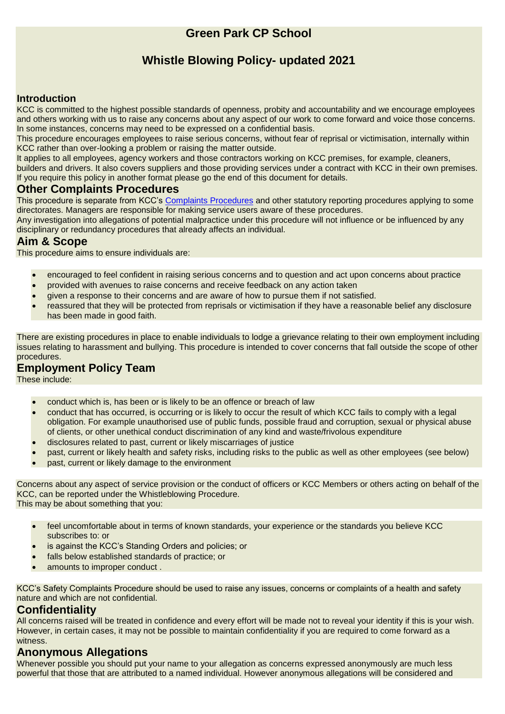# **Green Park CP School**

# **Whistle Blowing Policy- updated 2021**

#### **Introduction**

KCC is committed to the highest possible standards of openness, probity and accountability and we encourage employees and others working with us to raise any concerns about any aspect of our work to come forward and voice those concerns. In some instances, concerns may need to be expressed on a confidential basis.

This procedure encourages employees to raise serious concerns, without fear of reprisal or victimisation, internally within KCC rather than over-looking a problem or raising the matter outside.

It applies to all employees, agency workers and those contractors working on KCC premises, for example, cleaners, builders and drivers. It also covers suppliers and those providing services under a contract with KCC in their own premises. If you require this policy in another format please go the end of this document for details.

#### **Other Complaints Procedures**

This procedure is separate from KCC's [Complaints Procedures](http://www.kent.gov.uk/your_council/have_your_say/complaints_and_comments.aspx) and other statutory reporting procedures applying to some directorates. Managers are responsible for making service users aware of these procedures.

Any investigation into allegations of potential malpractice under this procedure will not influence or be influenced by any disciplinary or redundancy procedures that already affects an individual.

## **Aim & Scope**

This procedure aims to ensure individuals are:

- encouraged to feel confident in raising serious concerns and to question and act upon concerns about practice
- provided with avenues to raise concerns and receive feedback on any action taken
- given a response to their concerns and are aware of how to pursue them if not satisfied.
- reassured that they will be protected from reprisals or victimisation if they have a reasonable belief any disclosure has been made in good faith.

There are existing procedures in place to enable individuals to lodge a grievance relating to their own employment including issues relating to harassment and bullying. This procedure is intended to cover concerns that fall outside the scope of other procedures.

# **Employment Policy Team**

These include:

- conduct which is, has been or is likely to be an offence or breach of law
- conduct that has occurred, is occurring or is likely to occur the result of which KCC fails to comply with a legal obligation. For example unauthorised use of public funds, possible fraud and corruption, sexual or physical abuse of clients, or other unethical conduct discrimination of any kind and waste/frivolous expenditure
- disclosures related to past, current or likely miscarriages of justice
- past, current or likely health and safety risks, including risks to the public as well as other employees (see below)
- past, current or likely damage to the environment

Concerns about any aspect of service provision or the conduct of officers or KCC Members or others acting on behalf of the KCC, can be reported under the Whistleblowing Procedure. This may be about something that you:

- feel uncomfortable about in terms of known standards, your experience or the standards you believe KCC subscribes to: or
	- is against the KCC's Standing Orders and policies; or
	- falls below established standards of practice; or
- amounts to improper conduct.

KCC's Safety Complaints Procedure should be used to raise any issues, concerns or complaints of a health and safety nature and which are not confidential.

#### **Confidentiality**

All concerns raised will be treated in confidence and every effort will be made not to reveal your identity if this is your wish. However, in certain cases, it may not be possible to maintain confidentiality if you are required to come forward as a witness.

#### **Anonymous Allegations**

Whenever possible you should put your name to your allegation as concerns expressed anonymously are much less powerful that those that are attributed to a named individual. However anonymous allegations will be considered and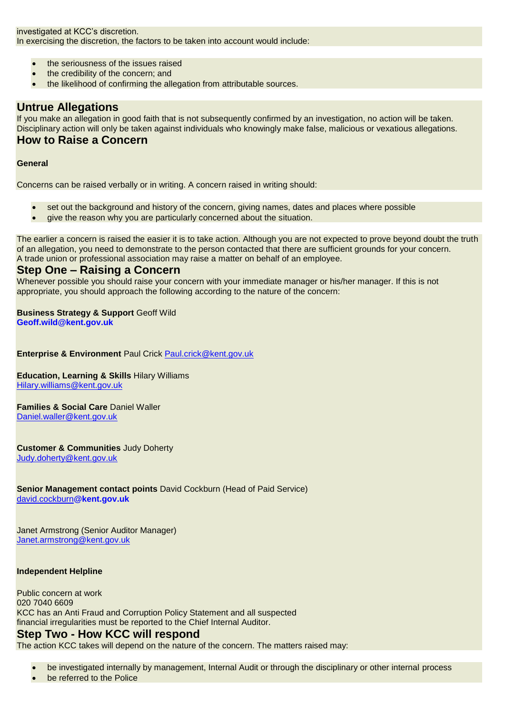investigated at KCC's discretion. In exercising the discretion, the factors to be taken into account would include:

- the seriousness of the issues raised
- the credibility of the concern; and
- the likelihood of confirming the allegation from attributable sources.

#### **Untrue Allegations**

If you make an allegation in good faith that is not subsequently confirmed by an investigation, no action will be taken. Disciplinary action will only be taken against individuals who knowingly make false, malicious or vexatious allegations. **How to Raise a Concern**

#### **General**

Concerns can be raised verbally or in writing. A concern raised in writing should:

- set out the background and history of the concern, giving names, dates and places where possible
- give the reason why you are particularly concerned about the situation.

The earlier a concern is raised the easier it is to take action. Although you are not expected to prove beyond doubt the truth of an allegation, you need to demonstrate to the person contacted that there are sufficient grounds for your concern. A trade union or professional association may raise a matter on behalf of an employee.

#### **Step One – Raising a Concern**

Whenever possible you should raise your concern with your immediate manager or his/her manager. If this is not appropriate, you should approach the following according to the nature of the concern:

## **Business Strategy & Support** Geoff Wild

**[Geoff.wild@kent.gov.uk](mailto:Geoff.wild@kent.gov.uk)**

**Enterprise & Environment** Paul Crick Paul.crick@kent.gov.uk

#### **Education, Learning & Skills** Hilary Williams [Hilary.williams@kent.gov.uk](mailto:Hilary.williams@kent.gov.uk)

**Families & Social Care** Daniel Waller

[Daniel.waller@kent.gov.uk](mailto:Daniel.waller@kent.gov.uk)

**Customer & Communities** Judy Doherty [Judy.doherty@kent.gov.uk](mailto:Judy.doherty@kent.gov.uk)

**Senior Management contact points** David Cockburn (Head of Paid Service) [david.cockburn](mailto:david.cockburn@kent.gov.uk)**@kent.gov.uk**

Janet Armstrong (Senior Auditor Manager) [Janet.armstrong@kent.gov.uk](mailto:Janet.armstrong@kent.gov.uk)

#### **Independent Helpline**

Public concern at work 020 7040 6609 KCC has an Anti Fraud and Corruption Policy Statement and all suspected financial irregularities must be reported to the Chief Internal Auditor. **Step Two - How KCC will respond**

The action KCC takes will depend on the nature of the concern. The matters raised may:

- be investigated internally by management, Internal Audit or through the disciplinary or other internal process
- be referred to the Police